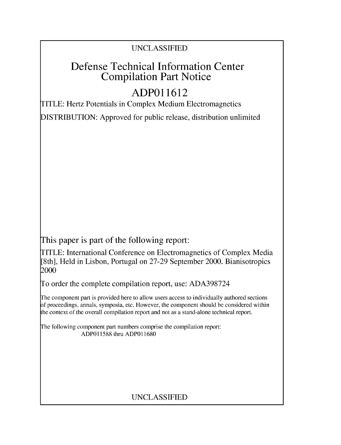### UNCLASSIFIED

## Defense Technical Information Center Compilation Part Notice

# **ADPO 11612**

TITLE: Hertz Potentials in Complex Medium Electromagnetics

DISTRIBUTION: Approved for public release, distribution unlimited

This paper is part of the following report:

TITLE: International Conference on Electromagnetics of Complex Media [8th], Held in Lisbon, Portugal on 27-29 September 2000. Bianisotropics 2000

To order the complete compilation report, use: ADA398724

The component part is provided here to allow users access to individually authored sections f proceedings, annals, symposia, etc. However, the component should be considered within [he context of the overall compilation report and not as a stand-alone technical report.

The following component part numbers comprise the compilation report: ADP011588 thru ADP011680

### UNCLASSIFIED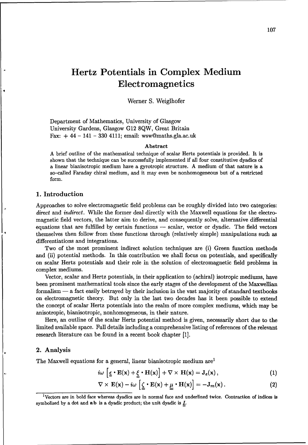## Hertz Potentials in Complex Medium Electromagnetics

Werner S. Weiglhofer

Department of Mathematics, University of Glasgow University Gardens, Glasgow G12 8QW, Great Britain Fax:  $+44 - 141 - 330 4111$ ; email: wsw@maths.gla.ac.uk

#### Abstract

A brief outline of the mathematical technique of scalar Hertz potentials is provided. It is shown that the technique can be successfully implemented if all four constitutive dyadics of a linear bianisotropic medium have a gyrotropic structure. A medium of that nature is a so-called Faraday chiral medium, and it may even be nonhomogeneous but of a restricted form.

#### 1. Introduction

Approaches to solve electromagnetic field problems can be roughly divided into two categories: direct and indirect. While the former deal directly with the Maxwell equations for the electromagnetic field vectors, the latter aim to derive, and consequently solve, alternative differential equations that are fulfilled by certain functions — scalar, vector or dyadic. The field vectors themselves then follow from these functions through (relatively simple) manipulations such as differentiations and integrations.

Two of the most prominent indirect solution techniques are (i) Green function methods and (ii) potential methods. In this contribution we shall focus on potentials, and specifically on scalar Hertz potentials and their role in the solution of electromagnetic field problems in complex mediums.

Vector, scalar and Hertz potentials, in their application to (achiral) isotropic mediums, have been prominent mathematical tools since the early stages of the development of the Maxwellian formalism — a fact easily betrayed by their inclusion in the vast majority of standard textbooks on electromagnetic theory. But only in the last two decades has it been possible to extend the concept of scalar Hertz potentials into the realm of more complex mediums, which may be anisotropic, bianisotropic, nonhomogeneous, in their nature.

Here, an outline of the scalar Hertz potential method is given, necessarily short due to the limited available space. Full details including a comprehensive listing of references of the relevant research literature can be found in a recent book chapter [1].

#### 2. Analysis

The Maxwell equations for a general, linear bianisotropic medium are<sup>1</sup>

$$
i\omega \left[\underline{\underline{\epsilon}} \cdot \mathbf{E}(\mathbf{x}) + \underline{\underline{\xi}} \cdot \mathbf{H}(\mathbf{x})\right] + \nabla \times \mathbf{H}(\mathbf{x}) = \mathbf{J}_e(\mathbf{x}), \qquad (1)
$$

$$
\nabla \times \mathbf{E}(\mathbf{x}) - i\omega \left[ \underline{\zeta} \cdot \mathbf{E}(\mathbf{x}) + \underline{\mu} \cdot \mathbf{H}(\mathbf{x}) \right] = -\mathbf{J}_m(\mathbf{x}). \tag{2}
$$

IVectors are in bold face whereas dyadics are in normal face and underlined twice. Contraction of indices is symbolized by a dot and ab is a dyadic product; the unit dyadic is *I.*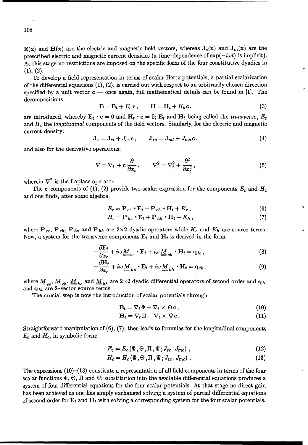$E(x)$  and  $H(x)$  are the electric and magnetic field vectors, whereas  $J_e(x)$  and  $J_m(x)$  are the prescribed electric and magnetic current densities (a time-dependence of  $exp(-i\omega t)$  is implicit). At this stage no restrictions are imposed on the specific form of the four constitutive dyadics in  $(1), (2).$ 

To develop a field representation in terms of scalar Hertz potentials, a partial scalarization of the differential equations  $(1), (2)$ , is carried out with respect to an arbitrarily chosen direction specified by a unit vector  $c$  — once again, full mathematical details can be found in [1]. The decompositions

$$
\mathbf{E} = \mathbf{E}_t + E_c \mathbf{c}, \qquad \mathbf{H} = \mathbf{H}_t + H_c \mathbf{c}, \tag{3}
$$

are introduced, whereby  $\mathbf{E}_t \cdot \mathbf{c} = 0$  and  $\mathbf{H}_t \cdot \mathbf{c} = 0$ ;  $\mathbf{E}_t$  and  $\mathbf{H}_t$  being called the *transverse*,  $E_c$ and  $H_c$  the longitudinal components of the field vectors. Similarly, for the electric and magnetic current density:

$$
\mathbf{J}_e = \mathbf{J}_{et} + J_{ec} \mathbf{c}, \qquad \mathbf{J}_m = \mathbf{J}_{mt} + J_{mc} \mathbf{c}, \tag{4}
$$

and also for the derivative operations:

$$
\nabla = \nabla_t + \mathbf{c} \frac{\partial}{\partial x_c}, \qquad \nabla^2 = \nabla_t^2 + \frac{\partial^2}{\partial x_c^2}, \tag{5}
$$

wherein  $\nabla^2$  is the Laplace operator.

The c-components of (1), (2) provide two scalar expression for the components  $E_c$  and  $H_c$ and one finds, after some algebra,

$$
E_c = \mathbf{P}_{ee} \cdot \mathbf{E}_t + \mathbf{P}_{eh} \cdot \mathbf{H}_t + K_e, \qquad (6)
$$

$$
H_c = \mathbf{P}_{he} \cdot \mathbf{E}_t + \mathbf{P}_{hh} \cdot \mathbf{H}_t + K_h, \qquad (7)
$$

where  $P_{ee}$ ,  $P_{eh}$ ,  $P_{he}$  and  $P_{hh}$  are 2×2 dyadic operators while  $K_e$  and  $K_h$  are source terms. Now, a system for the transverse components  $E_t$  and  $H_t$  is derived in the form

$$
-\frac{\partial \mathbf{E}_t}{\partial x_c} + i\omega \underline{M}_{ee} \cdot \mathbf{E}_t + i\omega \underline{M}_{eh} \cdot \mathbf{H}_t = \mathbf{q}_{te},
$$
\n(8)

$$
-\frac{\partial \mathbf{H}_t}{\partial x_c} + i\omega \underline{M}_{he} \cdot \mathbf{E}_t + i\omega \underline{M}_{hh} \cdot \mathbf{H}_t = \mathbf{q}_{th}.
$$
 (9)

where  $M_{ee}$ ,  $M_{eh}$ ,  $M_{he}$  and  $M_{hh}$  are 2×2 dyadic differential operators of second order and  $q_{te}$ and  $q_{th}$  are 2-vector source terms.

The crucial step is now the introduction of scalar potentials through

$$
\mathbf{E}_t = \nabla_t \Phi + \nabla_t \times \Theta \mathbf{c},\tag{10}
$$

$$
\mathbf{H}_t = \nabla_t \Pi + \nabla_t \times \Psi \mathbf{c}.
$$
 (11)

Straightforward manipulation of (6), (7), then leads to formulas for the longitudinal components  $E_c$  and  $H_c$ , in symbolic form:

$$
E_c = E_c \left( \Phi, \Theta, \Pi, \Psi; J_{ec}, J_{mc} \right), \qquad (12)
$$

$$
H_c = H_c(\Phi, \Theta, \Pi, \Psi; J_{ec}, J_{mc})
$$
\n(13)

The expressions  $(10)$ - $(13)$  constitute a representation of all field components in terms of the four scalar functions  $\Phi$ ,  $\Theta$ ,  $\Pi$  and  $\Psi$ ; substitution into the available differential equations produces a system of four differential equations for the four scalar potentials. At that stage no direct gain has been achieved as one has simply exchanged solving a system of partial differential equations of second order for  $E_t$  and  $H_t$  with solving a corresponding system for the four scalar potentials.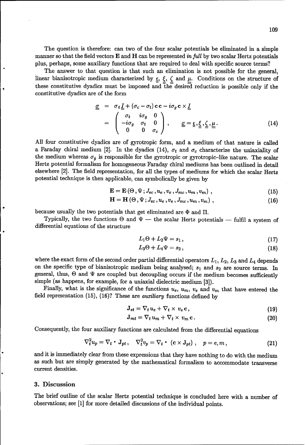The question is therefore: can two of the four scalar potentials be eliminated in a simple manner so that the field vectors  $E$  and  $H$  can be represented in full by two scalar Hertz potentials plus, perhaps, some auxiliary functions that are required to deal with specific source terms?

The answer to that question is that such an elimination is not possible for the general, linear bianisotropic medium characterized by  $\epsilon$ ,  $\zeta$ ,  $\zeta$  and  $\mu$ . Conditions on the structure of these constitutive dyadics must be imposed and  $\bar{t}$  he desired reduction is possible only if the constitutive dyadics are of the form

$$
\underline{\underline{\sigma}} = \sigma_t \underline{I} + (\sigma_c - \sigma_t) \mathbf{c} \mathbf{c} - i \sigma_g \mathbf{c} \times \underline{I} \n= \begin{pmatrix} \sigma_t & i \sigma_g & 0 \\ -i \sigma_g & \sigma_t & 0 \\ 0 & 0 & \sigma_c \end{pmatrix}, \qquad \underline{\underline{\sigma}} = \underline{\underline{\epsilon}}, \underline{\underline{\zeta}}, \underline{\underline{\mu}}.
$$
\n(14)

All four constitutive dyadics are of gyrotropic form, and a medium of that nature is called a Faraday chiral medium [2]. In the dyadics (14),  $\sigma_t$  and  $\sigma_c$  characterize the uniaxiality of the medium whereas  $\sigma_g$  is responsible for the gyrotropic or gyrotropic-like nature. The scalar Hertz potential formalism for homogeneous Faraday chiral mediums has been outlined in detail elsewhere [2]. The field representation, for all the types of mediums for which the scalar Hertz potential technique is then applicable, can symbolically be given by

$$
\mathbf{E} = \mathbf{E} \left( \Theta, \Psi; J_{ec}, u_e, v_e, J_{mc}, u_m, v_m \right), \qquad (15)
$$

$$
\mathbf{H} = \mathbf{H} \left( \Theta, \Psi; J_{ec}, u_e, v_e, J_{mc}, u_m, v_m \right), \tag{16}
$$

because usually the two potentials that get eliminated are  $\Phi$  and  $\Pi$ .

Typically, the two functions  $\Theta$  and  $\Psi$  - the scalar Hertz potentials - fulfil a system of differential equations of the structure

$$
L_1\Theta + L_2\Psi = s_1\,,\tag{17}
$$

$$
L_3\Theta + L_4\Psi = s_2\,,\tag{18}
$$

where the exact form of the second order partial differential operators  $L_1$ ,  $L_2$ ,  $L_3$  and  $L_4$  depends on the specific type of bianisotropic medium being analysed; **si** and 32 are source terms. In general, thus,  $\Theta$  and  $\Psi$  are coupled but decoupling occurs if the medium becomes sufficiently simple (as happens, for example, for a uniaxial dielectric medium [3]).

Finally, what is the significance of the functions  $u_e$ ,  $u_m$ ,  $v_e$  and  $v_m$  that have entered the field representation (15), (16)? These are auxiliary functions defined by

$$
\mathbf{J}_{et} = \nabla_t u_e + \nabla_t \times v_e \mathbf{c},\qquad(19)
$$

$$
\mathbf{J}_{mt} = \nabla_t u_m + \nabla_t \times v_m \mathbf{c} \,. \tag{20}
$$

Consequently, the four auxiliary functions are calculated from the differential equations

$$
\nabla_t^2 u_p = \nabla_t \cdot \mathbf{J}_{pt}, \quad \nabla_t^2 v_p = \nabla_t \cdot (\mathbf{c} \times \mathbf{J}_{pt}), \quad p = e, m,
$$
\n(21)

and it is immediately clear from these expressions that they have nothing to do with the medium as such but are simply generated by the mathematical formalism to accommodate transverse current densities.

#### 3. Discussion

The brief outline of the scalar Hertz potential technique is concluded here with a number of observations; see [1] for more detailed discussions of the individual points.